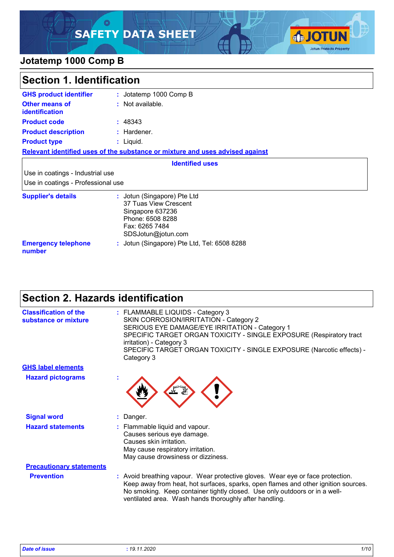### O **SAFETY DATA SHEET**



### **Jotatemp 1000 Comp B**

| Section 1. Identification                                              |                                                                                                                                      |  |
|------------------------------------------------------------------------|--------------------------------------------------------------------------------------------------------------------------------------|--|
| <b>GHS product identifier</b>                                          | : Jotatemp 1000 Comp B                                                                                                               |  |
| <b>Other means of</b><br><b>identification</b>                         | : Not available.                                                                                                                     |  |
| <b>Product code</b>                                                    | : 48343                                                                                                                              |  |
| <b>Product description</b>                                             | : Hardener.                                                                                                                          |  |
| <b>Product type</b>                                                    | : Liquid.                                                                                                                            |  |
|                                                                        | Relevant identified uses of the substance or mixture and uses advised against                                                        |  |
|                                                                        | <b>Identified uses</b>                                                                                                               |  |
| Use in coatings - Industrial use<br>Use in coatings - Professional use |                                                                                                                                      |  |
| <b>Supplier's details</b>                                              | : Jotun (Singapore) Pte Ltd<br>37 Tuas View Crescent<br>Singapore 637236<br>Phone: 6508 8288<br>Fax: 6265 7484<br>SDSJotun@jotun.com |  |
| <b>Emergency telephone</b><br>number                                   | : Jotun (Singapore) Pte Ltd, Tel: 6508 8288                                                                                          |  |

# **Section 2. Hazards identification**

| <b>Classification of the</b><br>substance or mixture | : FLAMMABLE LIQUIDS - Category 3<br>SKIN CORROSION/IRRITATION - Category 2<br>SERIOUS EYE DAMAGE/EYE IRRITATION - Category 1<br>SPECIFIC TARGET ORGAN TOXICITY - SINGLE EXPOSURE (Respiratory tract<br>irritation) - Category 3<br>SPECIFIC TARGET ORGAN TOXICITY - SINGLE EXPOSURE (Narcotic effects) -<br>Category 3 |
|------------------------------------------------------|------------------------------------------------------------------------------------------------------------------------------------------------------------------------------------------------------------------------------------------------------------------------------------------------------------------------|
| <b>GHS label elements</b>                            |                                                                                                                                                                                                                                                                                                                        |
| <b>Hazard pictograms</b>                             |                                                                                                                                                                                                                                                                                                                        |
| <b>Signal word</b>                                   | Danger.                                                                                                                                                                                                                                                                                                                |
| <b>Hazard statements</b>                             | : Flammable liquid and vapour.<br>Causes serious eye damage.<br>Causes skin irritation.<br>May cause respiratory irritation.<br>May cause drowsiness or dizziness.                                                                                                                                                     |
| <b>Precautionary statements</b>                      |                                                                                                                                                                                                                                                                                                                        |
| <b>Prevention</b>                                    | : Avoid breathing vapour. Wear protective gloves. Wear eye or face protection.<br>Keep away from heat, hot surfaces, sparks, open flames and other ignition sources.<br>No smoking. Keep container tightly closed. Use only outdoors or in a well-<br>ventilated area. Wash hands thoroughly after handling.           |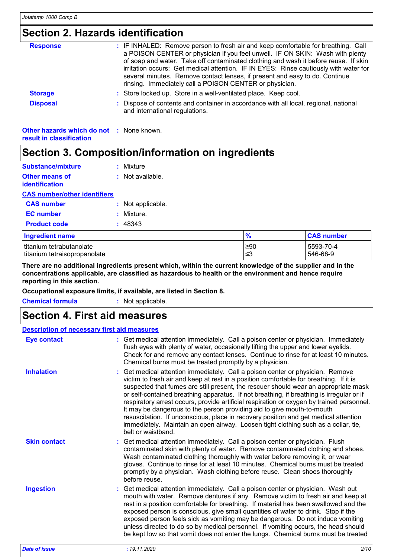## **Section 2. Hazards identification**

| <b>Response</b>                                                             | : IF INHALED: Remove person to fresh air and keep comfortable for breathing. Call<br>a POISON CENTER or physician if you feel unwell. IF ON SKIN: Wash with plenty<br>of soap and water. Take off contaminated clothing and wash it before reuse. If skin<br>irritation occurs: Get medical attention. IF IN EYES: Rinse cautiously with water for<br>several minutes. Remove contact lenses, if present and easy to do. Continue |
|-----------------------------------------------------------------------------|-----------------------------------------------------------------------------------------------------------------------------------------------------------------------------------------------------------------------------------------------------------------------------------------------------------------------------------------------------------------------------------------------------------------------------------|
|                                                                             | rinsing. Immediately call a POISON CENTER or physician.                                                                                                                                                                                                                                                                                                                                                                           |
| <b>Storage</b>                                                              | : Store locked up. Store in a well-ventilated place. Keep cool.                                                                                                                                                                                                                                                                                                                                                                   |
| <b>Disposal</b>                                                             | : Dispose of contents and container in accordance with all local, regional, national<br>and international regulations.                                                                                                                                                                                                                                                                                                            |
| <b>Other hazards which do not : None known.</b><br>result in classification |                                                                                                                                                                                                                                                                                                                                                                                                                                   |

# **Section 3. Composition/information on ingredients**

| <b>Substance/mixture</b>                                 | $:$ Mixture       |                 |                       |
|----------------------------------------------------------|-------------------|-----------------|-----------------------|
| <b>Other means of</b><br><i>identification</i>           | : Not available.  |                 |                       |
| <b>CAS number/other identifiers</b>                      |                   |                 |                       |
| <b>CAS number</b>                                        | : Not applicable. |                 |                       |
| <b>EC</b> number                                         | : Mixture.        |                 |                       |
| <b>Product code</b>                                      | : 48343           |                 |                       |
| <b>Ingredient name</b>                                   |                   | $\frac{9}{6}$   | <b>CAS number</b>     |
| titanium tetrabutanolate<br>titanium tetraisopropanolate |                   | $\geq 90$<br>≤3 | 5593-70-4<br>546-68-9 |

**There are no additional ingredients present which, within the current knowledge of the supplier and in the concentrations applicable, are classified as hazardous to health or the environment and hence require reporting in this section.**

**Occupational exposure limits, if available, are listed in Section 8.**

**Chemical formula :** Not applicable.

### **Section 4. First aid measures**

| <b>Description of necessary first aid measures</b> |                                                                                                                                                                                                                                                                                                                                                                                                                                                                                                                                                                                                                                                                                                                                       |  |  |
|----------------------------------------------------|---------------------------------------------------------------------------------------------------------------------------------------------------------------------------------------------------------------------------------------------------------------------------------------------------------------------------------------------------------------------------------------------------------------------------------------------------------------------------------------------------------------------------------------------------------------------------------------------------------------------------------------------------------------------------------------------------------------------------------------|--|--|
| <b>Eye contact</b>                                 | : Get medical attention immediately. Call a poison center or physician. Immediately<br>flush eyes with plenty of water, occasionally lifting the upper and lower eyelids.<br>Check for and remove any contact lenses. Continue to rinse for at least 10 minutes.<br>Chemical burns must be treated promptly by a physician.                                                                                                                                                                                                                                                                                                                                                                                                           |  |  |
| <b>Inhalation</b>                                  | : Get medical attention immediately. Call a poison center or physician. Remove<br>victim to fresh air and keep at rest in a position comfortable for breathing. If it is<br>suspected that fumes are still present, the rescuer should wear an appropriate mask<br>or self-contained breathing apparatus. If not breathing, if breathing is irregular or if<br>respiratory arrest occurs, provide artificial respiration or oxygen by trained personnel.<br>It may be dangerous to the person providing aid to give mouth-to-mouth<br>resuscitation. If unconscious, place in recovery position and get medical attention<br>immediately. Maintain an open airway. Loosen tight clothing such as a collar, tie,<br>belt or waistband. |  |  |
| <b>Skin contact</b>                                | : Get medical attention immediately. Call a poison center or physician. Flush<br>contaminated skin with plenty of water. Remove contaminated clothing and shoes.<br>Wash contaminated clothing thoroughly with water before removing it, or wear<br>gloves. Continue to rinse for at least 10 minutes. Chemical burns must be treated<br>promptly by a physician. Wash clothing before reuse. Clean shoes thoroughly<br>before reuse.                                                                                                                                                                                                                                                                                                 |  |  |
| <b>Ingestion</b>                                   | : Get medical attention immediately. Call a poison center or physician. Wash out<br>mouth with water. Remove dentures if any. Remove victim to fresh air and keep at<br>rest in a position comfortable for breathing. If material has been swallowed and the<br>exposed person is conscious, give small quantities of water to drink. Stop if the<br>exposed person feels sick as vomiting may be dangerous. Do not induce vomiting<br>unless directed to do so by medical personnel. If vomiting occurs, the head should<br>be kept low so that vomit does not enter the lungs. Chemical burns must be treated                                                                                                                       |  |  |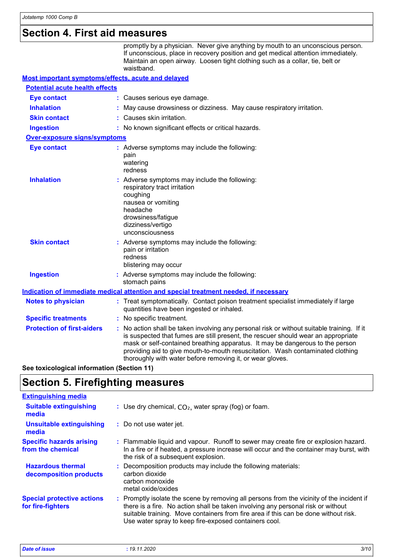### **Section 4. First aid measures**

promptly by a physician. Never give anything by mouth to an unconscious person. If unconscious, place in recovery position and get medical attention immediately. Maintain an open airway. Loosen tight clothing such as a collar, tie, belt or waistband.

| Most important symptoms/effects, acute and delayed |                                                                                                                                                                                                                                                                                                                                                                                                                 |  |
|----------------------------------------------------|-----------------------------------------------------------------------------------------------------------------------------------------------------------------------------------------------------------------------------------------------------------------------------------------------------------------------------------------------------------------------------------------------------------------|--|
| <b>Potential acute health effects</b>              |                                                                                                                                                                                                                                                                                                                                                                                                                 |  |
| <b>Eye contact</b>                                 | : Causes serious eye damage.                                                                                                                                                                                                                                                                                                                                                                                    |  |
| <b>Inhalation</b>                                  | May cause drowsiness or dizziness. May cause respiratory irritation.                                                                                                                                                                                                                                                                                                                                            |  |
| <b>Skin contact</b>                                | : Causes skin irritation.                                                                                                                                                                                                                                                                                                                                                                                       |  |
| <b>Ingestion</b>                                   | : No known significant effects or critical hazards.                                                                                                                                                                                                                                                                                                                                                             |  |
| <b>Over-exposure signs/symptoms</b>                |                                                                                                                                                                                                                                                                                                                                                                                                                 |  |
| <b>Eye contact</b>                                 | : Adverse symptoms may include the following:<br>pain<br>watering<br>redness                                                                                                                                                                                                                                                                                                                                    |  |
| <b>Inhalation</b>                                  | : Adverse symptoms may include the following:<br>respiratory tract irritation<br>coughing<br>nausea or vomiting<br>headache<br>drowsiness/fatigue<br>dizziness/vertigo<br>unconsciousness                                                                                                                                                                                                                       |  |
| <b>Skin contact</b>                                | : Adverse symptoms may include the following:<br>pain or irritation<br>redness<br>blistering may occur                                                                                                                                                                                                                                                                                                          |  |
| <b>Ingestion</b>                                   | : Adverse symptoms may include the following:<br>stomach pains                                                                                                                                                                                                                                                                                                                                                  |  |
|                                                    | Indication of immediate medical attention and special treatment needed, if necessary                                                                                                                                                                                                                                                                                                                            |  |
| <b>Notes to physician</b>                          | : Treat symptomatically. Contact poison treatment specialist immediately if large<br>quantities have been ingested or inhaled.                                                                                                                                                                                                                                                                                  |  |
| <b>Specific treatments</b>                         | : No specific treatment.                                                                                                                                                                                                                                                                                                                                                                                        |  |
| <b>Protection of first-aiders</b>                  | : No action shall be taken involving any personal risk or without suitable training. If it<br>is suspected that fumes are still present, the rescuer should wear an appropriate<br>mask or self-contained breathing apparatus. It may be dangerous to the person<br>providing aid to give mouth-to-mouth resuscitation. Wash contaminated clothing<br>thoroughly with water before removing it, or wear gloves. |  |

**See toxicological information (Section 11)**

### **Section 5. Firefighting measures**

| <b>Extinguishing media</b>                             |                                                                                                                                                                                                                                                                                                                               |
|--------------------------------------------------------|-------------------------------------------------------------------------------------------------------------------------------------------------------------------------------------------------------------------------------------------------------------------------------------------------------------------------------|
| <b>Suitable extinguishing</b><br>media                 | : Use dry chemical, $CO2$ , water spray (fog) or foam.                                                                                                                                                                                                                                                                        |
| <b>Unsuitable extinguishing</b><br>media               | : Do not use water jet.                                                                                                                                                                                                                                                                                                       |
| <b>Specific hazards arising</b><br>from the chemical   | : Flammable liquid and vapour. Runoff to sewer may create fire or explosion hazard.<br>In a fire or if heated, a pressure increase will occur and the container may burst, with<br>the risk of a subsequent explosion.                                                                                                        |
| <b>Hazardous thermal</b><br>decomposition products     | : Decomposition products may include the following materials:<br>carbon dioxide<br>carbon monoxide<br>metal oxide/oxides                                                                                                                                                                                                      |
| <b>Special protective actions</b><br>for fire-fighters | : Promptly isolate the scene by removing all persons from the vicinity of the incident if<br>there is a fire. No action shall be taken involving any personal risk or without<br>suitable training. Move containers from fire area if this can be done without risk.<br>Use water spray to keep fire-exposed containers cool. |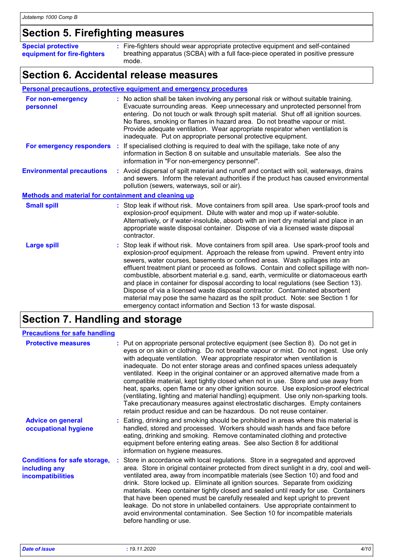# **Section 5. Firefighting measures**

| <b>Special protective</b><br>equipment for fire-fighters | : Fire-fighters should wear appropriate protective equipment and self-contained<br>breathing apparatus (SCBA) with a full face-piece operated in positive pressure<br>mode. |
|----------------------------------------------------------|-----------------------------------------------------------------------------------------------------------------------------------------------------------------------------|
|                                                          |                                                                                                                                                                             |

## **Section 6. Accidental release measures**

|                                                             | Personal precautions, protective equipment and emergency procedures                                                                                                                                                                                                                                                                                                                                                                                                                                                                                                                                                                                                                                                                                                     |
|-------------------------------------------------------------|-------------------------------------------------------------------------------------------------------------------------------------------------------------------------------------------------------------------------------------------------------------------------------------------------------------------------------------------------------------------------------------------------------------------------------------------------------------------------------------------------------------------------------------------------------------------------------------------------------------------------------------------------------------------------------------------------------------------------------------------------------------------------|
| For non-emergency<br>personnel                              | : No action shall be taken involving any personal risk or without suitable training.<br>Evacuate surrounding areas. Keep unnecessary and unprotected personnel from<br>entering. Do not touch or walk through spilt material. Shut off all ignition sources.<br>No flares, smoking or flames in hazard area. Do not breathe vapour or mist.<br>Provide adequate ventilation. Wear appropriate respirator when ventilation is<br>inadequate. Put on appropriate personal protective equipment.                                                                                                                                                                                                                                                                           |
|                                                             | For emergency responders : If specialised clothing is required to deal with the spillage, take note of any<br>information in Section 8 on suitable and unsuitable materials. See also the<br>information in "For non-emergency personnel".                                                                                                                                                                                                                                                                                                                                                                                                                                                                                                                              |
| <b>Environmental precautions</b>                            | : Avoid dispersal of spilt material and runoff and contact with soil, waterways, drains<br>and sewers. Inform the relevant authorities if the product has caused environmental<br>pollution (sewers, waterways, soil or air).                                                                                                                                                                                                                                                                                                                                                                                                                                                                                                                                           |
| <b>Methods and material for containment and cleaning up</b> |                                                                                                                                                                                                                                                                                                                                                                                                                                                                                                                                                                                                                                                                                                                                                                         |
| <b>Small spill</b>                                          | : Stop leak if without risk. Move containers from spill area. Use spark-proof tools and<br>explosion-proof equipment. Dilute with water and mop up if water-soluble.<br>Alternatively, or if water-insoluble, absorb with an inert dry material and place in an<br>appropriate waste disposal container. Dispose of via a licensed waste disposal<br>contractor.                                                                                                                                                                                                                                                                                                                                                                                                        |
| <b>Large spill</b>                                          | : Stop leak if without risk. Move containers from spill area. Use spark-proof tools and<br>explosion-proof equipment. Approach the release from upwind. Prevent entry into<br>sewers, water courses, basements or confined areas. Wash spillages into an<br>effluent treatment plant or proceed as follows. Contain and collect spillage with non-<br>combustible, absorbent material e.g. sand, earth, vermiculite or diatomaceous earth<br>and place in container for disposal according to local regulations (see Section 13).<br>Dispose of via a licensed waste disposal contractor. Contaminated absorbent<br>material may pose the same hazard as the spilt product. Note: see Section 1 for<br>emergency contact information and Section 13 for waste disposal. |

# **Section 7. Handling and storage**

| <b>Precautions for safe handling</b>                                             |                                                                                                                                                                                                                                                                                                                                                                                                                                                                                                                                                                                                                                                                                                                                                                                                                                                              |
|----------------------------------------------------------------------------------|--------------------------------------------------------------------------------------------------------------------------------------------------------------------------------------------------------------------------------------------------------------------------------------------------------------------------------------------------------------------------------------------------------------------------------------------------------------------------------------------------------------------------------------------------------------------------------------------------------------------------------------------------------------------------------------------------------------------------------------------------------------------------------------------------------------------------------------------------------------|
| <b>Protective measures</b>                                                       | : Put on appropriate personal protective equipment (see Section 8). Do not get in<br>eyes or on skin or clothing. Do not breathe vapour or mist. Do not ingest. Use only<br>with adequate ventilation. Wear appropriate respirator when ventilation is<br>inadequate. Do not enter storage areas and confined spaces unless adequately<br>ventilated. Keep in the original container or an approved alternative made from a<br>compatible material, kept tightly closed when not in use. Store and use away from<br>heat, sparks, open flame or any other ignition source. Use explosion-proof electrical<br>(ventilating, lighting and material handling) equipment. Use only non-sparking tools.<br>Take precautionary measures against electrostatic discharges. Empty containers<br>retain product residue and can be hazardous. Do not reuse container. |
| <b>Advice on general</b><br>occupational hygiene                                 | : Eating, drinking and smoking should be prohibited in areas where this material is<br>handled, stored and processed. Workers should wash hands and face before<br>eating, drinking and smoking. Remove contaminated clothing and protective<br>equipment before entering eating areas. See also Section 8 for additional<br>information on hygiene measures.                                                                                                                                                                                                                                                                                                                                                                                                                                                                                                |
| <b>Conditions for safe storage,</b><br>including any<br><b>incompatibilities</b> | : Store in accordance with local regulations. Store in a segregated and approved<br>area. Store in original container protected from direct sunlight in a dry, cool and well-<br>ventilated area, away from incompatible materials (see Section 10) and food and<br>drink. Store locked up. Eliminate all ignition sources. Separate from oxidizing<br>materials. Keep container tightly closed and sealed until ready for use. Containers<br>that have been opened must be carefully resealed and kept upright to prevent<br>leakage. Do not store in unlabelled containers. Use appropriate containment to<br>avoid environmental contamination. See Section 10 for incompatible materials<br>before handling or use.                                                                                                                                      |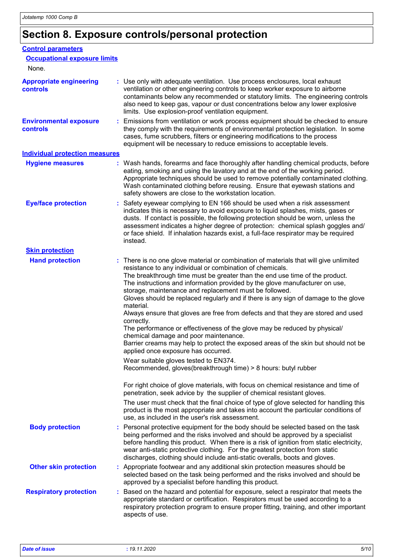# **Section 8. Exposure controls/personal protection**

| <b>Control parameters</b>                         |                                                                                                                                                                                                                                                                                                                                                                                                                                                                                                                                                                                                                                                                                                                                                                                                                                                                                                                                                                                                                                                                                                                                                                                                                                                                                                 |
|---------------------------------------------------|-------------------------------------------------------------------------------------------------------------------------------------------------------------------------------------------------------------------------------------------------------------------------------------------------------------------------------------------------------------------------------------------------------------------------------------------------------------------------------------------------------------------------------------------------------------------------------------------------------------------------------------------------------------------------------------------------------------------------------------------------------------------------------------------------------------------------------------------------------------------------------------------------------------------------------------------------------------------------------------------------------------------------------------------------------------------------------------------------------------------------------------------------------------------------------------------------------------------------------------------------------------------------------------------------|
| <b>Occupational exposure limits</b>               |                                                                                                                                                                                                                                                                                                                                                                                                                                                                                                                                                                                                                                                                                                                                                                                                                                                                                                                                                                                                                                                                                                                                                                                                                                                                                                 |
| None.                                             |                                                                                                                                                                                                                                                                                                                                                                                                                                                                                                                                                                                                                                                                                                                                                                                                                                                                                                                                                                                                                                                                                                                                                                                                                                                                                                 |
| <b>Appropriate engineering</b><br><b>controls</b> | : Use only with adequate ventilation. Use process enclosures, local exhaust<br>ventilation or other engineering controls to keep worker exposure to airborne<br>contaminants below any recommended or statutory limits. The engineering controls<br>also need to keep gas, vapour or dust concentrations below any lower explosive<br>limits. Use explosion-proof ventilation equipment.                                                                                                                                                                                                                                                                                                                                                                                                                                                                                                                                                                                                                                                                                                                                                                                                                                                                                                        |
| <b>Environmental exposure</b><br>controls         | Emissions from ventilation or work process equipment should be checked to ensure<br>they comply with the requirements of environmental protection legislation. In some<br>cases, fume scrubbers, filters or engineering modifications to the process<br>equipment will be necessary to reduce emissions to acceptable levels.                                                                                                                                                                                                                                                                                                                                                                                                                                                                                                                                                                                                                                                                                                                                                                                                                                                                                                                                                                   |
| <b>Individual protection measures</b>             |                                                                                                                                                                                                                                                                                                                                                                                                                                                                                                                                                                                                                                                                                                                                                                                                                                                                                                                                                                                                                                                                                                                                                                                                                                                                                                 |
| <b>Hygiene measures</b>                           | : Wash hands, forearms and face thoroughly after handling chemical products, before<br>eating, smoking and using the lavatory and at the end of the working period.<br>Appropriate techniques should be used to remove potentially contaminated clothing.<br>Wash contaminated clothing before reusing. Ensure that eyewash stations and<br>safety showers are close to the workstation location.                                                                                                                                                                                                                                                                                                                                                                                                                                                                                                                                                                                                                                                                                                                                                                                                                                                                                               |
| <b>Eye/face protection</b>                        | : Safety eyewear complying to EN 166 should be used when a risk assessment<br>indicates this is necessary to avoid exposure to liquid splashes, mists, gases or<br>dusts. If contact is possible, the following protection should be worn, unless the<br>assessment indicates a higher degree of protection: chemical splash goggles and/<br>or face shield. If inhalation hazards exist, a full-face respirator may be required<br>instead.                                                                                                                                                                                                                                                                                                                                                                                                                                                                                                                                                                                                                                                                                                                                                                                                                                                    |
| <b>Skin protection</b>                            |                                                                                                                                                                                                                                                                                                                                                                                                                                                                                                                                                                                                                                                                                                                                                                                                                                                                                                                                                                                                                                                                                                                                                                                                                                                                                                 |
| <b>Hand protection</b>                            | : There is no one glove material or combination of materials that will give unlimited<br>resistance to any individual or combination of chemicals.<br>The breakthrough time must be greater than the end use time of the product.<br>The instructions and information provided by the glove manufacturer on use,<br>storage, maintenance and replacement must be followed.<br>Gloves should be replaced regularly and if there is any sign of damage to the glove<br>material.<br>Always ensure that gloves are free from defects and that they are stored and used<br>correctly.<br>The performance or effectiveness of the glove may be reduced by physical/<br>chemical damage and poor maintenance.<br>Barrier creams may help to protect the exposed areas of the skin but should not be<br>applied once exposure has occurred.<br>Wear suitable gloves tested to EN374.<br>Recommended, gloves(breakthrough time) > 8 hours: butyl rubber<br>For right choice of glove materials, with focus on chemical resistance and time of<br>penetration, seek advice by the supplier of chemical resistant gloves.<br>The user must check that the final choice of type of glove selected for handling this<br>product is the most appropriate and takes into account the particular conditions of |
| <b>Body protection</b>                            | use, as included in the user's risk assessment.<br>Personal protective equipment for the body should be selected based on the task<br>being performed and the risks involved and should be approved by a specialist<br>before handling this product. When there is a risk of ignition from static electricity,<br>wear anti-static protective clothing. For the greatest protection from static<br>discharges, clothing should include anti-static overalls, boots and gloves.                                                                                                                                                                                                                                                                                                                                                                                                                                                                                                                                                                                                                                                                                                                                                                                                                  |
| <b>Other skin protection</b>                      | : Appropriate footwear and any additional skin protection measures should be<br>selected based on the task being performed and the risks involved and should be<br>approved by a specialist before handling this product.                                                                                                                                                                                                                                                                                                                                                                                                                                                                                                                                                                                                                                                                                                                                                                                                                                                                                                                                                                                                                                                                       |
| <b>Respiratory protection</b>                     | Based on the hazard and potential for exposure, select a respirator that meets the<br>appropriate standard or certification. Respirators must be used according to a<br>respiratory protection program to ensure proper fitting, training, and other important<br>aspects of use.                                                                                                                                                                                                                                                                                                                                                                                                                                                                                                                                                                                                                                                                                                                                                                                                                                                                                                                                                                                                               |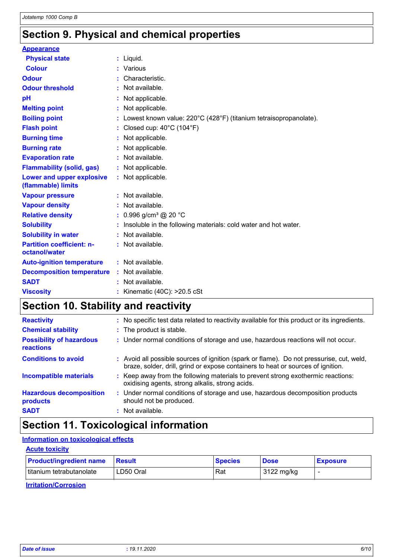# **Section 9. Physical and chemical properties**

| <b>Appearance</b>                                 |                                                                     |
|---------------------------------------------------|---------------------------------------------------------------------|
| <b>Physical state</b>                             | $:$ Liquid.                                                         |
| <b>Colour</b>                                     | Various                                                             |
| <b>Odour</b>                                      | Characteristic.                                                     |
| <b>Odour threshold</b>                            | : Not available.                                                    |
| pH                                                | Not applicable.                                                     |
| <b>Melting point</b>                              | : Not applicable.                                                   |
| <b>Boiling point</b>                              | : Lowest known value: 220°C (428°F) (titanium tetraisopropanolate). |
| <b>Flash point</b>                                | Closed cup: 40°C (104°F)                                            |
| <b>Burning time</b>                               | : Not applicable.                                                   |
| <b>Burning rate</b>                               | Not applicable.                                                     |
| <b>Evaporation rate</b>                           | : Not available.                                                    |
| <b>Flammability (solid, gas)</b>                  | : Not applicable.                                                   |
| Lower and upper explosive<br>(flammable) limits   | : Not applicable.                                                   |
| <b>Vapour pressure</b>                            | : Not available.                                                    |
| <b>Vapour density</b>                             | : Not available.                                                    |
| <b>Relative density</b>                           | : 0.996 g/cm <sup>3</sup> @ 20 °C                                   |
| <b>Solubility</b>                                 | Insoluble in the following materials: cold water and hot water.     |
| <b>Solubility in water</b>                        | : Not available.                                                    |
| <b>Partition coefficient: n-</b><br>octanol/water | : Not available.                                                    |
| <b>Auto-ignition temperature</b>                  | : Not available.                                                    |
| <b>Decomposition temperature</b>                  | : Not available.                                                    |
| <b>SADT</b>                                       | : Not available.                                                    |
| <b>Viscosity</b>                                  | : Kinematic (40C): >20.5 cSt                                        |

# **Section 10. Stability and reactivity**

| <b>Reactivity</b>                            | : No specific test data related to reactivity available for this product or its ingredients.                                                                                 |
|----------------------------------------------|------------------------------------------------------------------------------------------------------------------------------------------------------------------------------|
| <b>Chemical stability</b>                    | : The product is stable.                                                                                                                                                     |
| <b>Possibility of hazardous</b><br>reactions | : Under normal conditions of storage and use, hazardous reactions will not occur.                                                                                            |
| <b>Conditions to avoid</b>                   | : Avoid all possible sources of ignition (spark or flame). Do not pressurise, cut, weld,<br>braze, solder, drill, grind or expose containers to heat or sources of ignition. |
| <b>Incompatible materials</b>                | : Keep away from the following materials to prevent strong exothermic reactions:<br>oxidising agents, strong alkalis, strong acids.                                          |
| <b>Hazardous decomposition</b><br>products   | : Under normal conditions of storage and use, hazardous decomposition products<br>should not be produced.                                                                    |
| <b>SADT</b>                                  | : Not available.                                                                                                                                                             |

# **Section 11. Toxicological information**

#### **Information on toxicological effects**

| <b>Acute toxicity</b>          |               |                |             |                 |
|--------------------------------|---------------|----------------|-------------|-----------------|
| <b>Product/ingredient name</b> | <b>Besult</b> | <b>Species</b> | <b>Dose</b> | <b>Exposure</b> |
| titanium tetrabutanolate       | LD50 Oral     | Rat            | 3122 mg/kg  |                 |

**Irritation/Corrosion**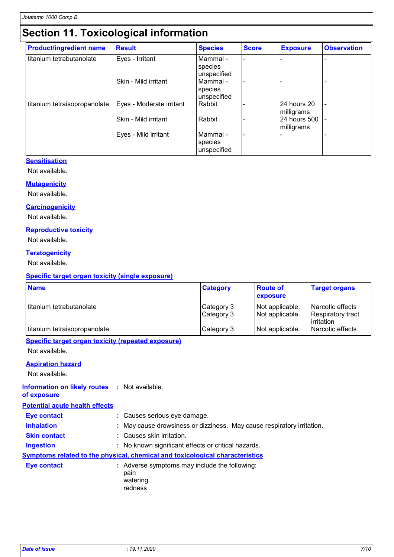# **Section 11. Toxicological information**

| <b>Product/ingredient name</b> | <b>Result</b>            | <b>Species</b>                       | <b>Score</b> | <b>Exposure</b>            | <b>Observation</b> |
|--------------------------------|--------------------------|--------------------------------------|--------------|----------------------------|--------------------|
| titanium tetrabutanolate       | Eyes - Irritant          | Mammal -<br>species<br>unspecified   |              |                            |                    |
|                                | Skin - Mild irritant     | Mammal -<br>species<br>unspecified   |              |                            |                    |
| titanium tetraisopropanolate   | Eyes - Moderate irritant | Rabbit                               |              | 24 hours 20<br>milligrams  |                    |
|                                | Skin - Mild irritant     | Rabbit                               |              | 24 hours 500<br>milligrams |                    |
|                                | Eyes - Mild irritant     | l Mammal -<br>species<br>unspecified |              |                            |                    |

#### **Sensitisation**

Not available.

#### **Mutagenicity**

Not available.

#### **Carcinogenicity**

Not available.

#### **Reproductive toxicity**

Not available.

#### **Teratogenicity**

Not available.

#### **Specific target organ toxicity (single exposure)**

| <b>Name</b>                  | <b>Category</b>          | <b>Route of</b><br>exposure        | <b>Target organs</b>                                |
|------------------------------|--------------------------|------------------------------------|-----------------------------------------------------|
| l titanium tetrabutanolate   | Category 3<br>Category 3 | Not applicable.<br>Not applicable. | Narcotic effects<br>Respiratory tract<br>irritation |
| titanium tetraisopropanolate | Category 3               | Not applicable.                    | I Narcotic effects                                  |

#### **Specific target organ toxicity (repeated exposure)**

Not available.

#### **Aspiration hazard**

Not available.

#### **Information on likely routes :** Not available.

**of exposure**

#### **Potential acute health effects**

| <b>Eye contact</b>  | : Causes serious eye damage.                                                        |  |
|---------------------|-------------------------------------------------------------------------------------|--|
| <b>Inhalation</b>   | : May cause drowsiness or dizziness. May cause respiratory irritation.              |  |
| <b>Skin contact</b> | : Causes skin irritation.                                                           |  |
| <b>Ingestion</b>    | : No known significant effects or critical hazards.                                 |  |
|                     | <b>Symptoms related to the physical, chemical and toxicological characteristics</b> |  |
| <b>Eye contact</b>  | : Adverse symptoms may include the following:<br>pain<br>watering<br>redness        |  |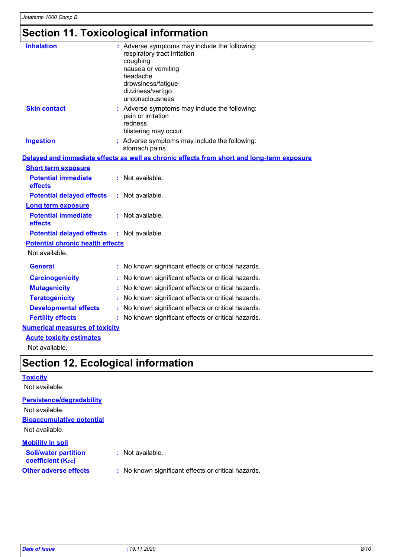# **Section 11. Toxicological information**

| <b>Inhalation</b>                       |   | : Adverse symptoms may include the following:<br>respiratory tract irritation<br>coughing<br>nausea or vomiting<br>headache<br>drowsiness/fatigue<br>dizziness/vertigo<br>unconsciousness |
|-----------------------------------------|---|-------------------------------------------------------------------------------------------------------------------------------------------------------------------------------------------|
| <b>Skin contact</b>                     |   | : Adverse symptoms may include the following:<br>pain or irritation<br>redness<br>blistering may occur                                                                                    |
| <b>Ingestion</b>                        |   | : Adverse symptoms may include the following:<br>stomach pains                                                                                                                            |
|                                         |   | Delayed and immediate effects as well as chronic effects from short and long-term exposure                                                                                                |
| <b>Short term exposure</b>              |   |                                                                                                                                                                                           |
| <b>Potential immediate</b><br>effects   |   | : Not available.                                                                                                                                                                          |
| <b>Potential delayed effects</b>        |   | : Not available.                                                                                                                                                                          |
| <b>Long term exposure</b>               |   |                                                                                                                                                                                           |
| <b>Potential immediate</b><br>effects   |   | : Not available.                                                                                                                                                                          |
| <b>Potential delayed effects</b>        |   | $:$ Not available.                                                                                                                                                                        |
| <b>Potential chronic health effects</b> |   |                                                                                                                                                                                           |
| Not available.                          |   |                                                                                                                                                                                           |
| <b>General</b>                          |   | : No known significant effects or critical hazards.                                                                                                                                       |
| <b>Carcinogenicity</b>                  |   | : No known significant effects or critical hazards.                                                                                                                                       |
| <b>Mutagenicity</b>                     | ÷ | No known significant effects or critical hazards.                                                                                                                                         |
| <b>Teratogenicity</b>                   |   | No known significant effects or critical hazards.                                                                                                                                         |
| <b>Developmental effects</b>            |   | : No known significant effects or critical hazards.                                                                                                                                       |
| <b>Fertility effects</b>                |   | : No known significant effects or critical hazards.                                                                                                                                       |
| <b>Numerical measures of toxicity</b>   |   |                                                                                                                                                                                           |
| <b>Acute toxicity estimates</b>         |   |                                                                                                                                                                                           |

Not available.

## **Section 12. Ecological information**

| <b>Toxicity</b>                                         |                                                     |
|---------------------------------------------------------|-----------------------------------------------------|
| Not available.                                          |                                                     |
| <b>Persistence/degradability</b>                        |                                                     |
| Not available.                                          |                                                     |
| <b>Bioaccumulative potential</b>                        |                                                     |
| Not available.                                          |                                                     |
| <b>Mobility in soil</b>                                 |                                                     |
| <b>Soil/water partition</b><br><b>coefficient (Koc)</b> | : Not available.                                    |
| <b>Other adverse effects</b>                            | : No known significant effects or critical hazards. |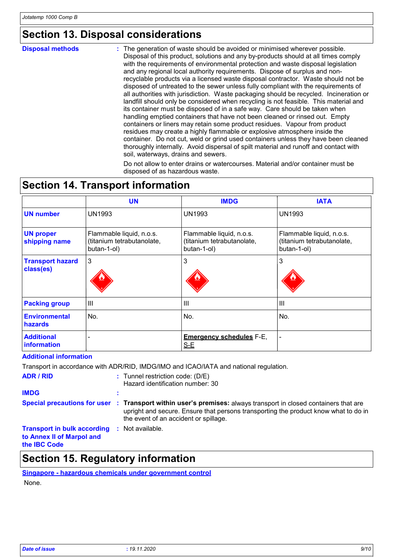# **Section 13. Disposal considerations**

#### **Disposal methods :**

The generation of waste should be avoided or minimised wherever possible. Disposal of this product, solutions and any by-products should at all times comply with the requirements of environmental protection and waste disposal legislation and any regional local authority requirements. Dispose of surplus and nonrecyclable products via a licensed waste disposal contractor. Waste should not be disposed of untreated to the sewer unless fully compliant with the requirements of all authorities with jurisdiction. Waste packaging should be recycled. Incineration or landfill should only be considered when recycling is not feasible. This material and its container must be disposed of in a safe way. Care should be taken when handling emptied containers that have not been cleaned or rinsed out. Empty containers or liners may retain some product residues. Vapour from product residues may create a highly flammable or explosive atmosphere inside the container. Do not cut, weld or grind used containers unless they have been cleaned thoroughly internally. Avoid dispersal of spilt material and runoff and contact with soil, waterways, drains and sewers.

Do not allow to enter drains or watercourses. Material and/or container must be disposed of as hazardous waste.

# **Section 14. Transport information**

|                                        | <b>UN</b>                                                             | <b>IMDG</b>                                                           | <b>IATA</b>                                                           |
|----------------------------------------|-----------------------------------------------------------------------|-----------------------------------------------------------------------|-----------------------------------------------------------------------|
| <b>UN number</b>                       | <b>UN1993</b>                                                         | <b>UN1993</b>                                                         | <b>UN1993</b>                                                         |
| <b>UN proper</b><br>shipping name      | Flammable liquid, n.o.s.<br>(titanium tetrabutanolate,<br>butan-1-ol) | Flammable liquid, n.o.s.<br>(titanium tetrabutanolate,<br>butan-1-ol) | Flammable liquid, n.o.s.<br>(titanium tetrabutanolate,<br>butan-1-ol) |
| <b>Transport hazard</b><br>class(es)   | 3                                                                     | 3                                                                     | 3                                                                     |
| <b>Packing group</b>                   | $\mathbf{III}$                                                        | III                                                                   | $\mathbf{III}$                                                        |
| <b>Environmental</b><br><b>hazards</b> | No.                                                                   | No.                                                                   | No.                                                                   |
| <b>Additional</b><br>information       |                                                                       | <b>Emergency schedules F-E,</b><br>$S-E$                              |                                                                       |

#### **Additional information**

|                                                                                                         | Transport in accordance with ADR/RID, IMDG/IMO and ICAO/IATA and national regulation.                                                                                                                                                           |
|---------------------------------------------------------------------------------------------------------|-------------------------------------------------------------------------------------------------------------------------------------------------------------------------------------------------------------------------------------------------|
| <b>ADR / RID</b>                                                                                        | $:$ Tunnel restriction code: (D/E)<br>Hazard identification number: 30                                                                                                                                                                          |
| <b>IMDG</b>                                                                                             |                                                                                                                                                                                                                                                 |
|                                                                                                         | Special precautions for user : Transport within user's premises: always transport in closed containers that are<br>upright and secure. Ensure that persons transporting the product know what to do in<br>the event of an accident or spillage. |
| <b>Transport in bulk according : Not available.</b><br>to Annex II of Marpol and<br>the <b>IBC</b> Code |                                                                                                                                                                                                                                                 |

### **Section 15. Regulatory information**

### **Singapore - hazardous chemicals under government control**

None.